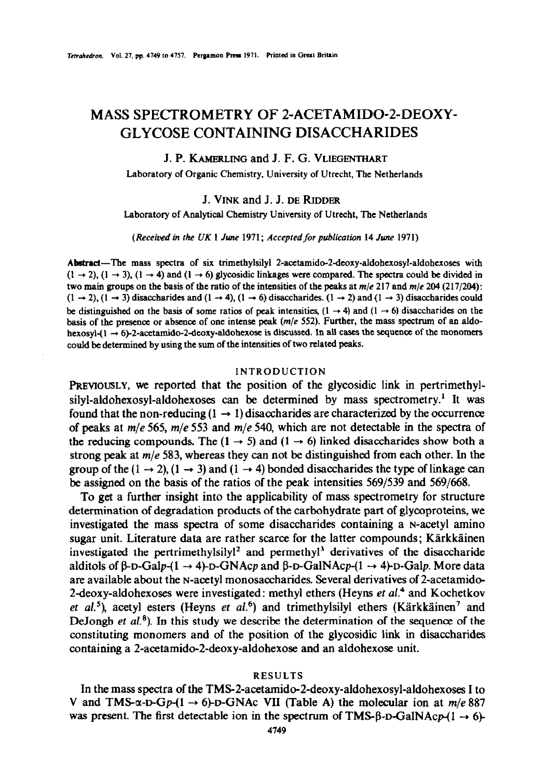# MASS SPECTROMETRY OF 2-ACETAMIDO-2-DEOXY-**GLYCOSE CONTAINING DISACCHARIDES**

## J. P. **KAMERLING** andJ. F.G. **VLIEGENTHART**

Laboratory of Organic Chemistry, University of Utrecht, The Netherlands

### J. VINK and J. J. **DE RIDDER**

Laboratory of Analytical Chemistry University of Utrecht, The Netherlands

*(Receitwd in rhe UK* I *Jwae 1971; Accepted/or ~~~icut~n 14 Jwte* 19'71)

Abstract—The mass spectra of six trimethylsilyl 2-acetamido-2-deoxy-aldohexosyl-aldohexoses with  $(1 \rightarrow 2)$ ,  $(1 \rightarrow 3)$ ,  $(1 \rightarrow 4)$  and  $(1 \rightarrow 6)$  glycosidic linkages were compared. The spectra could be divided in two main groups on the basis of the ratio of the intensities of the peaks at *m/e* 217 and *m/e* 204 (217/2&Q:  $(1 \rightarrow 2)$ ,  $(1 \rightarrow 3)$  disaccharides and  $(1 \rightarrow 4)$ ,  $(1 \rightarrow 6)$  disaccharides.  $(1 \rightarrow 2)$  and  $(1 \rightarrow 3)$  disaccharides could be distinguished on the basis of some ratios of peak intensities,  $(1 \rightarrow 4)$  and  $(1 \rightarrow 6)$  disaccharides on the basis of the presence or absence of one intense peak (m/e *552).* Further, the mass spectrum of an aldohexosyl- $(1 \rightarrow 6)$ -2-acetamido-2-deoxy-aldohexose is discussed. In all cases the sequence of the monomers could be determined by using the sum of the intensities of two related peaks.

## INTRODUCTION

**PREVIOUSLY, we** reported that the position of the glycosidic link in pertrimethylsilyl-aldohexosyl-aldohexoses can be determined by mass spectrometry.<sup>1</sup> It was found that the non-reducing  $(1 \rightarrow 1)$  disaccharides are characterized by the occurrence of peaks at *m/e* 565, m/e 553 and *m/e 540,* which are not detectable in the spectra of the reducing compounds. The  $(1 \rightarrow 5)$  and  $(1 \rightarrow 6)$  linked disaccharides show both a strong peak at  $m/e$  583, whereas they can not be distinguished from each other. In the group of the  $(1 \rightarrow 2)$ ,  $(1 \rightarrow 3)$  and  $(1 \rightarrow 4)$  bonded disaccharides the type of linkage can be assigned on the basis of the ratios of the peak intensities 569/539 and 569/668.

To get a further insight into the applicability of mass spectrometry for structure determination of degradation products of the carbohydrate part of glycoproteins, we investigated the mass spectra of some disaccharides containing a N-acetyl amino sugar unit. Literature data are rather scarce for the latter compounds; Kärkkäinen investigated the pertrimethylsily $1^2$  and permethyl<sup>3</sup> derivatives of the disaccharide alditols of  $\beta$ -D-Galp-(1  $\rightarrow$  4)-D-GNAcp and  $\beta$ -D-GalNAcp-(1  $\rightarrow$  4)-D-Galp. More data are available about the N-acetyl monosaccharides. Several derivatives of 2-acetamide 2-deoxy-aldohexoses were investigated: methyl ethers (Heyns  $et al.^4$  and Kochetkov *et al.*<sup>5</sup>), acetyl esters (Heyns *et al.*<sup>6</sup>) and trimethylsilyl ethers (Kärkkäinen<sup>7</sup> and DeJongh et  $al$ <sup>8</sup>). In this study we describe the determination of the sequence of the constituting monomers and of the position of the glycosidic link in disaccharides containing a 2-acetamido-2-deoxy-aldohexose and an aldohexose unit.

#### RESULTS

In the mass spectra of the TMS-2-acetamido-2-deoxy-aldohexosyl-aldohexoses I to V and TMS- $\alpha$ -D-Gp-(1  $\rightarrow$  6)-D-GNAc VII (Table A) the molecular ion at  $m/e$  887 was present. The first detectable ion in the spectrum of TMS- $\beta$ -D-GalNAcp- $(1 \rightarrow 6)$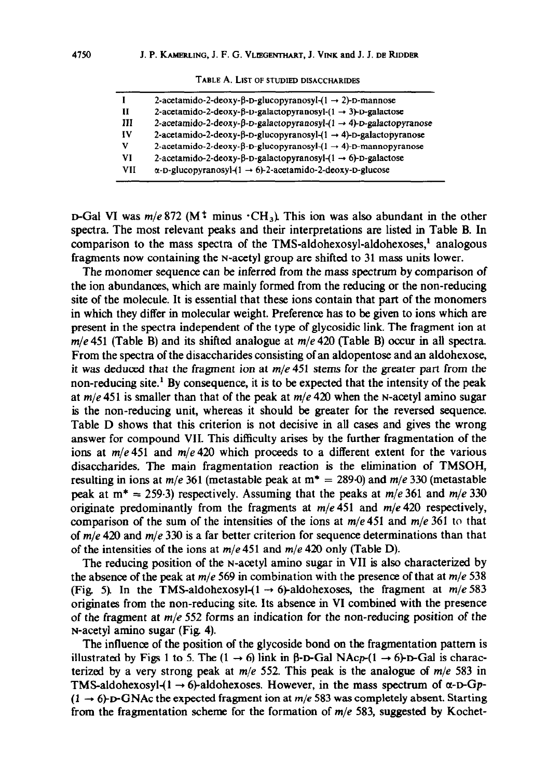|     | 2-acetamido-2-deoxy-β-D-glucopyranosyl- $(1 \rightarrow 2)$ -D-mannose                 |
|-----|----------------------------------------------------------------------------------------|
| н   | 2-acetamido-2-deoxy-β-p-galactopyranosyl- $(1 \rightarrow 3)$ -p-galactose             |
| Ш   | 2-acetamido-2-deoxy-β-D-galactopyranosyl- $(1 \rightarrow 4)$ -D-galactopyranose       |
| IV  | 2-acetamido-2-deoxy- $\beta$ -D-glucopyranosyl- $(1 \rightarrow 4)$ -D-galactopyranose |
| v   | 2-acetamido-2-deoxy-β-D-glucopyranosyl- $(1 \rightarrow 4)$ -D-mannopyranose           |
| VI  | 2-acetamido-2-deoxy-β-D-galactopyranosyl- $(1 \rightarrow 6)$ -D-galactose             |
| VII | $\alpha$ -D-glucopyranosyl-(1 $\rightarrow$ 6)-2-acetamido-2-deoxy-D-glucose           |
|     |                                                                                        |

**TABLE A. LIST OF STUDIED** DISACCHARIDES

 $D$ -Gal VI was  $m/e 872$  (M<sup>+</sup> minus  $\cdot$ CH<sub>3</sub>). This ion was also abundant in the other spectra. The most relevant peaks and their interpretations are listed in Table B. In comparison to the mass spectra of the TMS-aldohexosyl-aldohexoses,<sup>1</sup> analogous fragments now containing the N-acetyl group are shifted to 31 mass units lower.

The monomer sequence can be inferred from the mass spectrum by comparison of the ion abundances, which are mainly formed from the reducing or the non-reducing site of the molecule. It is essential that these ions contain that part of the monomers in which they differ in molecular weight. Preference has to be given to ions which are present in the spectra independent of the type of glycosidic link. The fragment ion at  $m/e$  451 (Table B) and its shifted analogue at  $m/e$  420 (Table B) occur in all spectra. From the spectra of the disaccharides consisting of an aldopentose and an aldohexose, it was deduced that the fragment ion at *m/e* 451 stems for the greater part from the non-reducing site.' By consequence, it is to be expected that the intensity of the peak at  $m/e$  451 is smaller than that of the peak at  $m/e$  420 when the N-acetyl amino sugar is the non-reducing unit, whereas it should be greater for the reversed sequence. Table D shows that this criterion is not decisive in all cases and gives the wrong answer for compound VIL This difficulty arises by the further fragmentation of the ions at  $m/e 451$  and  $m/e 420$  which proceeds to a different extent for the various disaccharides. The main fragmentation reaction is the elimination of TMSOH, resulting in ions at  $m/e$  361 (metastable peak at  $m^* = 289.0$ ) and  $m/e$  330 (metastable peak at  $m^* = 259.3$ ) respectively. Assuming that the peaks at  $m/e$  361 and  $m/e$  330 originate predominantly from the fragments at m/e451 and *m/e420* respectively, comparison of the sum of the intensities of the ions at m/e451 and *m/e* 361 to that of *m/e* 420 and *m/e* 330 is a far better criterion for sequence determinations than that of the intensities of the ions at  $m/e$  451 and  $m/e$  420 only (Table D).

The reducing position of the N-acetyl ammo sugar in VII is also characterized by the absence of the peak at m/e 569 in combination with the presence of that at *m/e* 538 (Fig. 5). In the TMS-aldohexosyl- $(1 \rightarrow 6)$ -aldohexoses, the fragment at  $m/e$  583 originates from the non-reducing site. Its absence in VI combined with the presence of the fragment at *m/e* 552 forms an indication for the non-reducing position of the N-acetyl amino sugar (Fig 4).

The influence of the position of the glycoside bond on the fragmentation pattern is illustrated by Figs 1 to 5. The  $(1 \rightarrow 6)$  link in  $\beta$ -D-Gal NAcp- $(1 \rightarrow 6)$ -D-Gal is characterized by a very strong peak at *m/e* 552. This peak is the analogue of *mfe* 583 in TMS-aldohexosyl- $(1 \rightarrow 6)$ -aldohexoses. However, in the mass spectrum of  $\alpha$ -D-Gp- $(1 \rightarrow 6)$ -D-GNAc the expected fragment ion at *m/e* 583 was completely absent. Starting from the fragmentation scheme for the formation of  $m/e$  583, suggested by Kochet-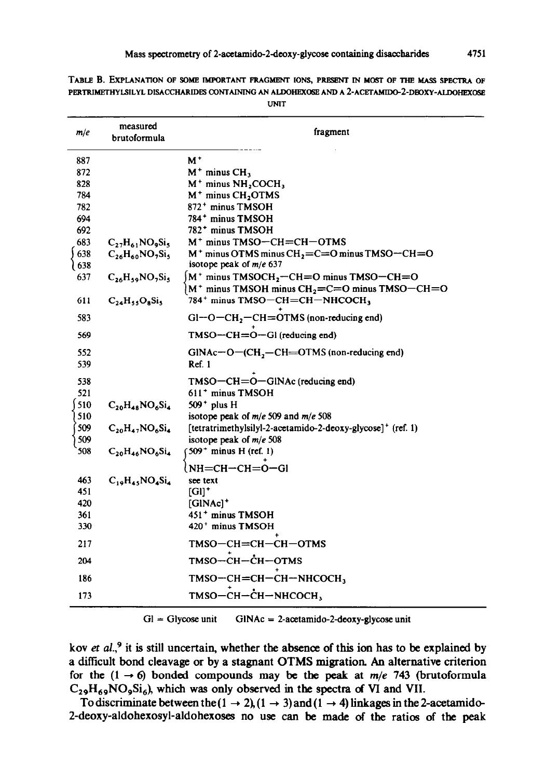|            | measured                 |                                                                                                              |
|------------|--------------------------|--------------------------------------------------------------------------------------------------------------|
| m/e        | brutoformula             | fragment                                                                                                     |
| 887        |                          | M,                                                                                                           |
| 872        |                          | $M^+$ minus $CH_3$                                                                                           |
| 828        |                          | $M^+$ minus $NH2COCH3$                                                                                       |
| 784        |                          | M <sup>+</sup> minus CH <sub>2</sub> OTMS                                                                    |
| 782        |                          | 872 <sup>+</sup> minus TMSOH                                                                                 |
| 694        |                          | 784 <sup>+</sup> minus TMSOH                                                                                 |
| 692        |                          | 782 <sup>+</sup> minus TMSOH                                                                                 |
| 683        | $C_2$ , $H_{61}NO_9Si_9$ | M <sup>+</sup> minus TMSO-CH=CH-OTMS                                                                         |
| 638<br>638 | $C_{26}H_{60}NO_7Si_5$   | $M^+$ minus OTMS minus CH <sub>2</sub> =C=O minus TMSO-CH=O<br>isotope peak of $m/e$ 637                     |
| 637        | $C_{26}H_{59}NO_7Si_5$   | $[M^+$ minus TMSOCH <sub>2</sub> -CH=O minus TMSO-CH=O<br>$M^+$ minus TMSOH minus $CH_2=C=O$ minus TMSO-CH=O |
| 611        | $C_{24}H_{55}O_8Si_5$    | 784 <sup>+</sup> minus TMSO-CH=CH-NHCOCH,                                                                    |
| 583        |                          | $Gl-O-CH$ , $-CH=OTMS$ (non-reducing end)                                                                    |
| 569        |                          | $TMSO - CH = O - Gl$ (reducing end)                                                                          |
| 552<br>539 |                          | $GINAc-O-(CH, -CH=OTMS$ (non-reducing end)<br>Ref. 1                                                         |
| 538        |                          | $TMSO - CH = O - GINAC$ (reducing end)                                                                       |
| 521        |                          | 611 <sup>+</sup> minus TMSOH                                                                                 |
| 510        | $C_{20}H_{48}NO_6Si_4$   | $509+$ plus H                                                                                                |
| 510        |                          | isotope peak of $m/e$ 509 and $m/e$ 508                                                                      |
| 509        | $C_{20}H_{47}NO_6Si_4$   | [tetratrimethylsilyl-2-acetamido-2-deoxy-glycose] <sup>+</sup> (ref. 1)                                      |
| 509        |                          | isotope peak of $m/e$ 508                                                                                    |
| 508        | $C_{20}H_{46}NO_6Si_4$   | 509 <sup>+</sup> minus H (ref. 1)                                                                            |
|            |                          | $NH = CH - CH = O - G$                                                                                       |
| 463        | $C_{10}H_{43}NO_4Si_4$   | see text                                                                                                     |
| 451        |                          | $[G]$ <sup>+</sup>                                                                                           |
| 420        |                          | $[GINAC]$ <sup>+</sup>                                                                                       |
| 361        |                          | 451 <sup>+</sup> minus TMSOH                                                                                 |
| 330        |                          | 420 <sup>+</sup> minus TMSOH                                                                                 |
| 217        |                          | TMSO-CH=CH-CH-OTMS                                                                                           |
| 204        |                          | TMSO-CH-CH-OTMS                                                                                              |
| 186        |                          | $TMSO - CH = CH - CH - NHCOCH3$                                                                              |
| 173        |                          | тмѕо-сн-сн-тнсосн,                                                                                           |

TABLE B. EXPLANATION OF SOME IMPORTANT FRAGMENT IONS, PRESENT IN MOST OF THE MASS SPECTRA OF PERTRIMETHYLSILYL DISACCHARIDES CONTAINING AN ALDOHEXOSE AND A 2-ACETAMIDO-2-DBOXY-ALDOHEXOSE

**UNIT** 

 $Gl = Glycose unit$  GINAc = 2-acetamido-2-deoxy-glycose unit

**kov er al.,9 it is still uncertain, whether the absence of this ion has to be explained by a difficult bond cleavage or by a stagnant OTMS migration. An alternative criterion**  for the  $(1 \rightarrow 6)$  bonded compounds may be the peak at  $m/e$  743 (brutoformula  $C_{29}H_{69}NO_9Si_6$ , which was only observed in the spectra of VI and VII.

To discriminate between the  $(1 \rightarrow 2)$ ,  $(1 \rightarrow 3)$  and  $(1 \rightarrow 4)$  linkages in the 2-acetamido-2-deoxy-aldohexosyl-aldohexoses no use can be made of the ratios of the peak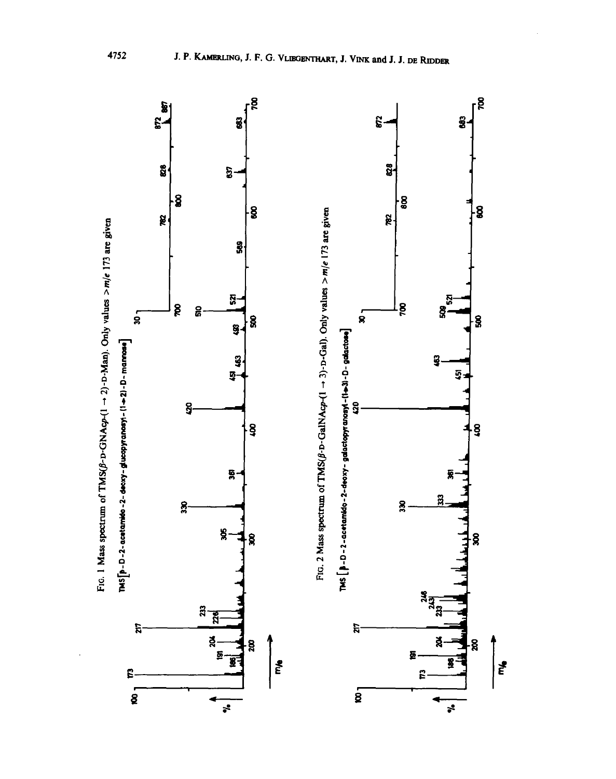

ť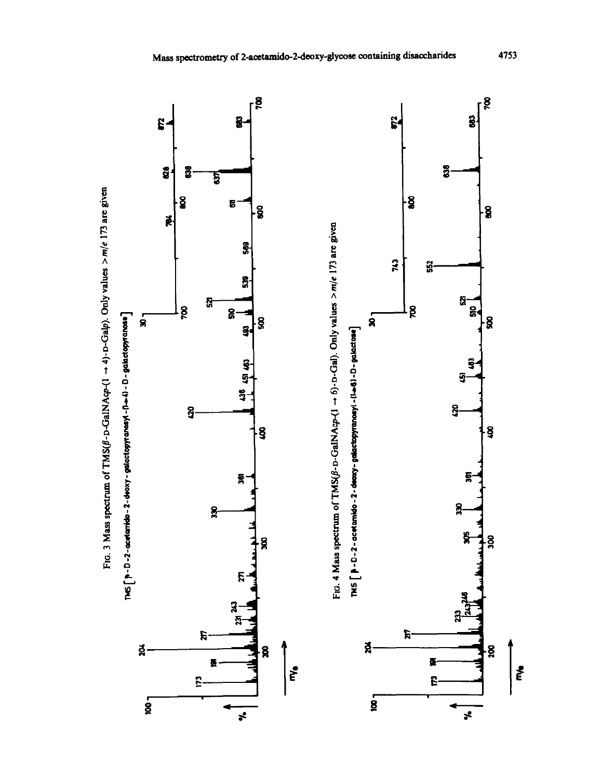

ξ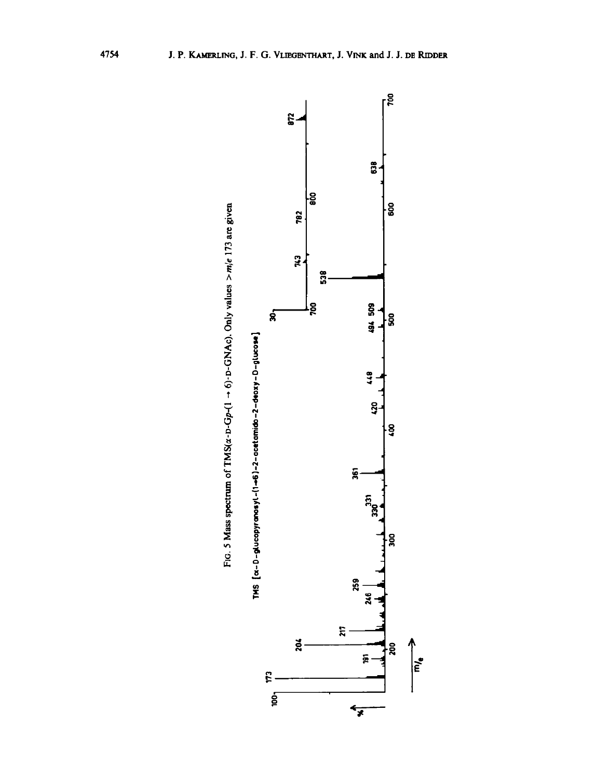

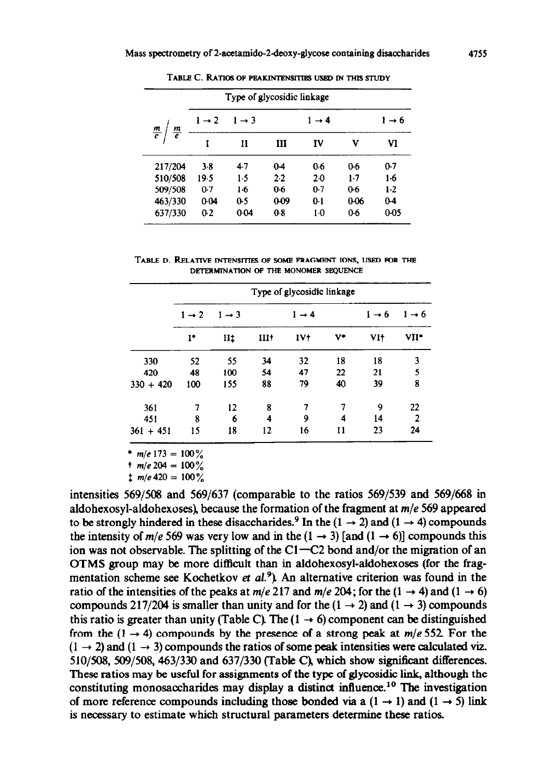|                                | Type of glycosidic linkage |                   |          |                   |       |                   |
|--------------------------------|----------------------------|-------------------|----------|-------------------|-------|-------------------|
|                                | $1 \rightarrow 2$          | $1 \rightarrow 3$ |          | $1 \rightarrow 4$ |       | $1 \rightarrow 6$ |
| $\frac{m}{e}$<br>$\frac{m}{e}$ | I                          | п                 | Ш        | IV                | v     | VI                |
| 217/204                        | 3.8                        | 4.7               | $0-4$    | 0.6               | 0.6   | 0.7               |
| 510/508                        | 19.5                       | 1.5               | 2.2      | 2.0               | $1-7$ | $1-6$             |
| 509/508                        | 0.7                        | $1-6$             | 0.6      | 0.7               | $0-6$ | $1-2$             |
| 463/330                        | 0.04                       | 0.5               | $0 - 09$ | 0.1               | 0-06  | $0-4$             |
| 637/330                        | 0.2                        | 0.04              | 0.8      | $1-0$             | 0.6   | 0-05              |

TABLE C. RATIOS OF PEAKINTENSITIES USED IN THIS STUDY

TABLE D. RELATIVE INTENSITIES OF SOME FRAGMENT IONS, USED FOR THE **DETERMlNAllON OF THE MONOMER SEQUENCE** 

|             | Type of glycosidic linkage |                                        |        |                 |                   |                   |                |  |
|-------------|----------------------------|----------------------------------------|--------|-----------------|-------------------|-------------------|----------------|--|
|             | $1 \rightarrow 2$          | $1 \rightarrow 3$<br>$1 \rightarrow 4$ |        |                 | $1 \rightarrow 6$ | $1 \rightarrow 6$ |                |  |
|             | $I^*$                      | IIt                                    | $III+$ | IV <sub>1</sub> | V۰                | VI†               | VII*           |  |
| 330         | 52                         | 55                                     | 34     | 32              | 18                | 18                | 3              |  |
| 420         | 48                         | 100                                    | 54     | 47              | 22                | 21                | 5              |  |
| $330 + 420$ | 100                        | 155                                    | 88     | 79              | 40                | 39                | 8              |  |
| 361         | 7                          | 12                                     | 8      | 7               | 7                 | 9                 | 22             |  |
| 451         | 8                          | 6                                      | 4      | 9               | 4                 | 14                | $\overline{2}$ |  |
| $361 + 451$ | 15                         | 18                                     | 12     | 16              | 11                | 23                | 24             |  |

\*  $m/e$  173 = 100%

 $t$  m/e 204 = 100%

 $\frac{1}{2}$  m/e 420 = 100%

intensities  $569/508$  and  $569/637$  (comparable to the ratios  $569/539$  and  $569/668$  in aldohexosyl-aldohexoses), because the formation of the fragment at *m/e* 569 appeared to be strongly hindered in these disaccharides.<sup>9</sup> In the (1  $\rightarrow$  2) and (1  $\rightarrow$  4) compounds the intensity of *m/e* 569 was very low and in the  $(1 \rightarrow 3)$  [and  $(1 \rightarrow 6)$ ] compounds this ion was not observable. The splitting of the C1-C2 bond and/or the migration of an OTMS group may be more difficult than in aldohexosyl-aldohexoses (for the fragmentation scheme see Kochetkov et  $al.^9$ ). An alternative criterion was found in the ratio of the intensities of the peaks at  $m/e$  217 and  $m/e$  204; for the  $(1 \rightarrow 4)$  and  $(1 \rightarrow 6)$ compounds 217/204 is smaller than unity and for the  $(1 \rightarrow 2)$  and  $(1 \rightarrow 3)$  compounds this ratio is greater than unity (Table C). The  $(1 \rightarrow 6)$  component can be distinguished from the  $(1 \rightarrow 4)$  compounds by the presence of a strong peak at  $m/e$  552. For the  $(1 \rightarrow 2)$  and  $(1 \rightarrow 3)$  compounds the ratios of some peak intensities were calculated viz.  $510/508$ ,  $509/508$ ,  $463/330$  and  $637/330$  (Table C), which show significant differences. These ratios may be useful for assignments of the type of glycosidic link, although the constituting monosaccharides may display a distinct influence.<sup>10</sup> The investigation of more reference compounds including those bonded via a  $(1 \rightarrow 1)$  and  $(1 \rightarrow 5)$  link is necessary to estimate which structural parameters determine these ratios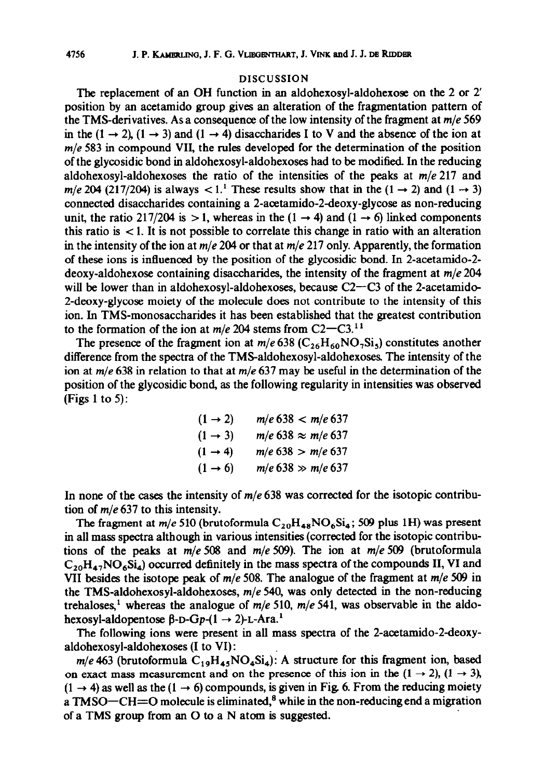#### DISCUSSION

The replacement of an OH function in an aldohexosyl-aldohexose on the 2 or 2' position by an acetamido group gives an alteration of the fragmentation pattern of the TMS-derivatives. As a consequence of the low intensity of the fragment at *m/e* 569 in the  $(1 \rightarrow 2)$ ,  $(1 \rightarrow 3)$  and  $(1 \rightarrow 4)$  disaccharides I to V and the absence of the ion at *m/e* 583 in compound VII, the rules developed for the determination of the position of the glycosidic bond in aldohexosyl-aldohexoses had to be modified. In the reducing aldohexosyl-aldohexoses the ratio of the intensities of the peaks at *m/e* 217 and *m/e* 204 (217/204) is always  $\lt 1$ .<sup>1</sup> These results show that in the (1  $\rightarrow$  2) and (1  $\rightarrow$  3) connected disaccharides containing a 2-acetamido-2deoxyglycose as non-reducing unit, the ratio 217/204 is  $>1$ , whereas in the  $(1 \rightarrow 4)$  and  $(1 \rightarrow 6)$  linked components this ratio is  $\lt 1$ . It is not possible to correlate this change in ratio with an alteration in the intensity of the ion at *m/e* 204 or that at *m/e* 217 only. Apparently, the formation of these ions is influenced by the position of the glycosidic bond. In 2-acetamido-2 deoxy-aldohexose containing disaccharides, the intensity of the fragment at *m/e* 204 will be lower than in aldohexosyl-aldohexoses, because  $C2-C3$  of the 2-acetamido-2-deoxy-glycose moiety of the molecule does not contribute to the intensity of this ion. In TMS-monosaccharides it has been established that the greatest contribution to the formation of the ion at  $m/e$  204 stems from  $C2-C3$ .<sup>11</sup>

The presence of the fragment ion at  $m/e 638$  ( $C_{26}H_{60}NO_7Si_5$ ) constitutes another difference from the spectra of the TMS-aldohexosyl-aldohexoses The intensity of the ion at *m/e* 638 in relation to that at *m/e* 637 may be useful in the determination of the position of the glycosidic bond, as the following regularity in intensities was observed (Figs 1 to 5):

$$
(1 \to 2) \qquad m/e \ 638 < m/e \ 637
$$
\n
$$
(1 \to 3) \qquad m/e \ 638 < m/e \ 637
$$
\n
$$
(1 \to 4) \qquad m/e \ 638 > m/e \ 637
$$
\n
$$
(1 \to 6) \qquad m/e \ 638 > m/e \ 637
$$

In none of the cases the intensity of *m/e* 638 was corrected for the isotopic contribution of  $m/e$  637 to this intensity.

The fragment at  $m/e 510$  (brutoformula  $C_{20}H_{48}NO_6Si_4$ ; 509 plus 1H) was present in all mass spectra although in various intensities (corrected for the isotopic contributions of the peaks at *m/e 508* and m/e 509). The ion at *m/e 509* (brutoformula  $C_{20}H_{47}NO_6Si_4$ ) occurred definitely in the mass spectra of the compounds II, VI and VII besides the isotope peak of  $m/e$  508. The analogue of the fragment at  $m/e$  509 in the TMS-aldohexosyl-aldohexoses,  $m/e$  540, was only detected in the non-reducing trehaloses,<sup>1</sup> whereas the analogue of  $m/e$  510,  $m/e$  541, was observable in the aldohexosyl-aldopentose  $\beta$ -D-Gp-(1  $\rightarrow$  2)-L-Ara.<sup>1</sup>

The following ions were present in all mass spectra of the 2-acetamido-2deoxyaldohexosyl-aldohexoses (I to VI) :

 $m/e$ 463 (brutoformula  $C_{19}H_{45}NO_4Si_4$ ): A structure for this fragment ion, based on exact mass measurement and on the presence of this ion in the  $(1 \rightarrow 2)$ ,  $(1 \rightarrow 3)$ ,  $(1 \rightarrow 4)$  as well as the  $(1 \rightarrow 6)$  compounds, is given in Fig. 6. From the reducing moiety a TMSO $-CH=O$  molecule is eliminated,<sup>8</sup> while in the non-reducing end a migration of a TMS group from an  $O$  to a N atom is suggested.